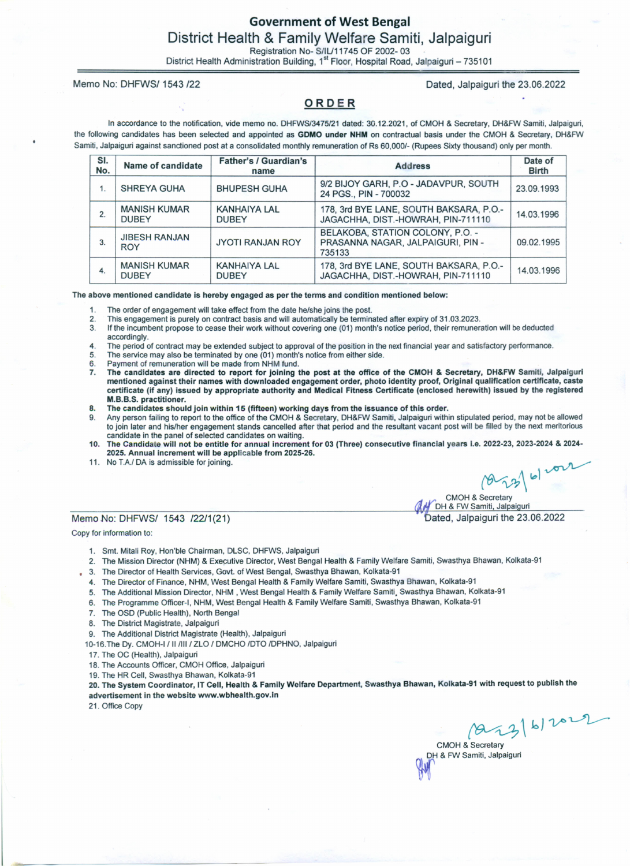### Government of West Bengal District Health & Family Welfare Samiti, Jalpaiguri Registration No- *S/IU11745* OF 2002- 03

District Health Administration Building, 1<sup>st</sup> Floor, Hospital Road, Jalpaiguri – 735101

Memo No: DHFWS/1543 *122* Dated, Jalpaiguri the 23.06.2022

#### ORDER

In accordance to the notification, vide memo no. *DHFWS/3475/21* dated: 30.12.2021, of CMOH & Secretary, DH&FW Samiti, Jalpaiguri, the following candidates has been selected and appointed as GDMO under NHM on contractual basis under the CMOH & Secretary, DH&FW Samiti, Jalpaiguri against sanctioned post at a consolidated monthly remuneration of Rs *60,000/-* (Rupees Sixty thousand) only per month.

| SI.<br>No. | Name of candidate                   | <b>Father's / Guardian's</b><br>name | <b>Address</b>                                                                  | Date of<br><b>Birth</b> |
|------------|-------------------------------------|--------------------------------------|---------------------------------------------------------------------------------|-------------------------|
| 1.         | <b>SHREYA GUHA</b>                  | <b>BHUPESH GUHA</b>                  | 9/2 BIJOY GARH, P.O - JADAVPUR, SOUTH<br>24 PGS., PIN - 700032                  | 23.09.1993              |
| 2.         | <b>MANISH KUMAR</b><br><b>DUBEY</b> | <b>KANHAIYA LAL</b><br><b>DUBEY</b>  | 178, 3rd BYE LANE, SOUTH BAKSARA, P.O.-<br>JAGACHHA, DIST.-HOWRAH, PIN-711110   | 14.03.1996              |
| 3.         | <b>JIBESH RANJAN</b><br><b>ROY</b>  | <b>JYOTI RANJAN ROY</b>              | BELAKOBA, STATION COLONY, P.O. -<br>PRASANNA NAGAR, JALPAIGURI, PIN -<br>735133 | 09.02.1995              |
| 4.         | <b>MANISH KUMAR</b><br><b>DUBEY</b> | <b>KANHAIYA LAL</b><br><b>DUBEY</b>  | 178, 3rd BYE LANE, SOUTH BAKSARA, P.O.-<br>JAGACHHA, DIST.-HOWRAH, PIN-711110   | 14.03.1996              |

The above mentioned candidate is hereby engaged as per the terms and condition mentioned below:

The order of engagement will take effect from the date he/she joins the post. 1.

This engagement is purely on contract basis and will automatically be terminated after expiry of 31.03.2023. 2.

- If the incumbent propose to cease their work without covering one (01) month's notice period, their remuneration will be deducted accordingly. 3.
- The period of contract may be extended subject to approval of the position in the nextfinancial year and satisfactory performance. 4.
- The service may also be terminated by one (01) month's notice from either side. 5.
- Payment of remuneration will be made from NHM fund. 6.
- The candidates are directed to report for joining the post at the office of the CMOH & Secretary, DH&FW Samiti, Jalpaiguri mentioned against their names with downloaded engagement order, photo identity proof, Original qualification certificate, caste certificate (if any) issued by appropriate authority and Medical Fitness Certificate (enclosed herewith) issued by the registered M.B.B.S. practitioner. 7.
- The candidates should join within 15 (fifteen) working days from the issuance of this order. 8.
- Any person failing to report to the office of the CMOH & Secretary, DH&FW Samiti, Jalpaiguri within stipulated period, may not be allowed to join later and his/her engagement stands cancelled after that period and the resultant vacant post will be filled by the next meritorious candidate in the panel of selected candidates on waiting. 9.
- 10. The Candidate will not be entitle for annual increment for 03 (Three) consecutive financial years i.e. 2022-23, 2023-2024 & 2024-2025. Annual increment will be applicable from 2025·26.
- 11. No *TAl* DA is admissible for joining.

Memo No: DHFWS/ 1543 /22/1(21) **120 ated, Jalpaiguri the 23.06.2022** 

Copy for information to:

- 1. Smt. Mitali Roy, Hon'ble Chairman, DLSC. DHFWS, Jalpaiguri
- 2. The Mission Director (NHM) & Executive Director, West Bengal Health & Family Welfare Samiti, Swasthya Bhawan, Kolkata-91
- 3. The Director of Health Services, Govt. of West Bengal, Swasthya Bhawan, Kolkata-91
- 4. The Director of Finance, NHM, West Bengal Health & Family Welfare Samiti, Swasthya Bhawan, Kolkata-91
- 5. The Additional Mission Director, NHM, West Bengal Health & Family Welfare Samiti, Swasthya Bhawan, Kolkata-91
- 6. The Programme Officer-I, NHM, West Bengal Health & Family Welfare Samiti, Swasthya Bhawan, Kolkata-91
- 7. The OSD (Public Health), North Bengal
- 8. The District Magistrate, Jalpaiguri
- 9. The Additional District Magistrate (Health), Jalpaiguri
- 10-16.The Dy. CMOH-I / II /III / ZLO / DMCHO /DTO /DPHNO, Jalpaiguri
- 17. The OC (Health), Jalpaiguri
- 18. The Accounts Officer, CMOH Office, Jalpaiguri
- 19. The HR Cell, Swasthya Bhawan, Kolkata-91

20. The System Coordinator, IT Cell, Health & Family Welfare Department, Swasthya Bhawan, Kolkata-91 with request to publish the advertisement in the website www.wbhealth.gov.in

21. Office Copy

 $(22)$  6/2022

 $| \cdot \rangle$ 

CMOH & Secretary DH & FW Samiti, Jalpaiguri

CMOH & Secretary DH & FW Samiti, Jalpaiguri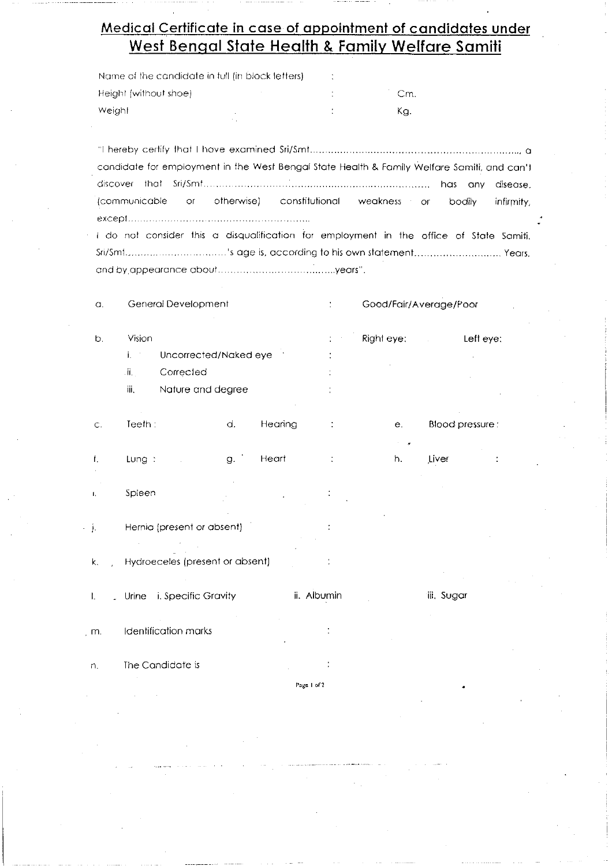# Medical Certificate in case of appointment of candidates under West Bengal State Health & Family Welfare Samili

| Name of the candidate in full (in block letters) |     |
|--------------------------------------------------|-----|
| Height (without shoe)                            | Сm  |
| Weight                                           | Ka. |

candidate for employment in the West Bengal State Health & Family Welfare Samiti, and can't has any disease. (communicable otherwise) constitutional  $\alpha$ weakness bodily or infirmity, 

I do not consider this a disqualification for employment in the office of State Samiti. Sri/Smt...................................'s age is, according to his own statement................................ Years, 

| $\alpha$ | General Development |  |  |
|----------|---------------------|--|--|
|          |                     |  |  |

Good/Fair/Average/Poor

Left eve:

- Vision Right eye:  $\mathbf{j}_{\perp}$ Uncorrected/Naked eye ii. Corrected
	- iii. Nature and degree

 $b$ .

| Ξ. | Teeth : | d. | Hearing | $\ddot{\phantom{1}}$<br>$\cdot$ | e.         | <b>Blood pressure</b> |
|----|---------|----|---------|---------------------------------|------------|-----------------------|
|    | Lung:   | g. | Heart   | $\cdot$<br>$\ddot{\phantom{1}}$ | - 41<br>h. | Liver                 |

- Spieen  $\mathbf{L}$
- $\cdot$  j. Hernia (present or absent)
	- Hydroeceles (present or absent)  $\mathsf{k}$ .
- ii. Albumin iii. Sugar Urine i. Specific Gravity  $\mathbf{L}$
- Identification marks  $\mathsf{m}$ .
- The Candidate is n.
- Page 1 of 2